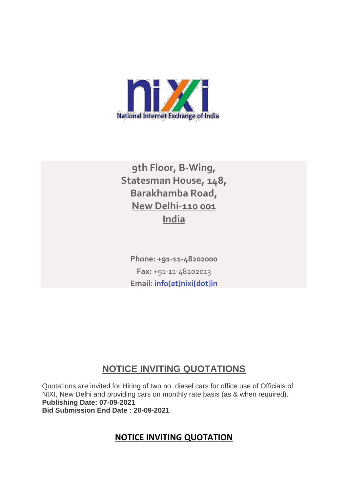

# **9th Floor, B-Wing, Statesman House, 148, Barakhamba Road, New Delhi-110 001 India**

**Phone: +91-11-48202000 Fax:** +91-11-48202013 **Email: [info\[at\]nixi\[dot\]in](mailto:info[at]nixi[dot]in)**

# **NOTICE INVITING QUOTATIONS**

Quotations are invited for Hiring of two no. diesel cars for office use of Officials of NIXI, New Delhi and providing cars on monthly rate basis (as & when required). **Publishing Date: 07-09-2021 Bid Submission End Date : 20-09-2021**

# **NOTICE INVITING QUOTATION**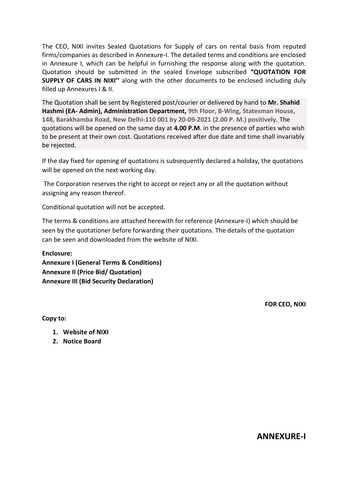The CEO, NIXI invites Sealed Quotations for Supply of cars on rental basis from reputed firms/companies as described in Annexure-I. The detailed terms and conditions are enclosed in Annexure I, which can be helpful in furnishing the response along with the quotation. Quotation should be submitted in the sealed Envelope subscribed **"QUOTATION FOR SUPPLY OF CARS IN NIXI''** along with the other documents to be enclosed including duly filled up Annexures I & II.

The Quotation shall be sent by Registered post/courier or delivered by hand to **Mr. Shahid Hashmi (EA- Admin), Administration Department, 9th Floor, B-Wing, Statesman House, 148, Barakhamba Road, New Delhi-110 001 by 20-09-2021 (2.00 P. M.) positively.** The quotations will be opened on the same day at **4.00 P.M**. in the presence of parties who wish to be present at their own cost. Quotations received after due date and time shall invariably be rejected.

If the day fixed for opening of quotations is subsequently declared a holiday, the quotations will be opened on the next working day.

The Corporation reserves the right to accept or reject any or all the quotation without assigning any reason thereof.

Conditional quotation will not be accepted.

The terms & conditions are attached herewith for reference (Annexure-I) which should be seen by the quotationer before forwarding their quotations. The details of the quotation can be seen and downloaded from the website of NIXI.

**Enclosure: Annexure I (General Terms & Conditions) Annexure II (Price Bid/ Quotation) Annexure III (Bid Security Declaration)**

**FOR CEO, NIXI**

**Copy to:** 

- **1. Website of NIXI**
- **2. Notice Board**

**ANNEXURE-I**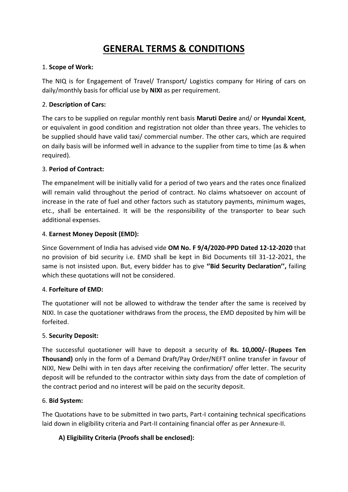# **GENERAL TERMS & CONDITIONS**

# 1. **Scope of Work:**

The NIQ is for Engagement of Travel/ Transport/ Logistics company for Hiring of cars on daily/monthly basis for official use by **NIXI** as per requirement.

# 2. **Description of Cars:**

The cars to be supplied on regular monthly rent basis **Maruti Dezire** and/ or **Hyundai Xcent**, or equivalent in good condition and registration not older than three years. The vehicles to be supplied should have valid taxi/ commercial number. The other cars, which are required on daily basis will be informed well in advance to the supplier from time to time (as & when required).

# 3. **Period of Contract:**

The empanelment will be initially valid for a period of two years and the rates once finalized will remain valid throughout the period of contract. No claims whatsoever on account of increase in the rate of fuel and other factors such as statutory payments, minimum wages, etc., shall be entertained. It will be the responsibility of the transporter to bear such additional expenses.

# 4. **Earnest Money Deposit (EMD):**

Since Government of India has advised vide **OM No. F 9/4/2020-PPD Dated 12-12-2020** that no provision of bid security i.e. EMD shall be kept in Bid Documents till 31-12-2021, the same is not insisted upon. But, every bidder has to give **''Bid Security Declaration'',** failing which these quotations will not be considered.

# 4. **Forfeiture of EMD:**

The quotationer will not be allowed to withdraw the tender after the same is received by NIXI. In case the quotationer withdraws from the process, the EMD deposited by him will be forfeited.

# 5. **Security Deposit:**

The successful quotationer will have to deposit a security of **Rs. 10,000/‐ (Rupees Ten Thousand)** only in the form of a Demand Draft/Pay Order/NEFT online transfer in favour of NIXI, New Delhi with in ten days after receiving the confirmation/ offer letter. The security deposit will be refunded to the contractor within sixty days from the date of completion of the contract period and no interest will be paid on the security deposit.

# 6. **Bid System:**

The Quotations have to be submitted in two parts, Part-I containing technical specifications laid down in eligibility criteria and Part-II containing financial offer as per Annexure-II.

# **A) Eligibility Criteria (Proofs shall be enclosed):**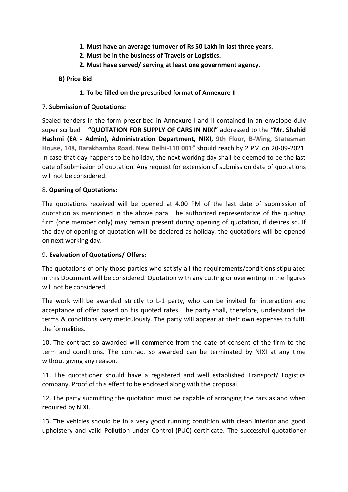- **1. Must have an average turnover of Rs 50 Lakh in last three years.**
- **2. Must be in the business of Travels or Logistics.**
- **2. Must have served/ serving at least one government agency.**

#### **B) Price Bid**

#### **1. To be filled on the prescribed format of Annexure II**

#### 7. **Submission of Quotations:**

Sealed tenders in the form prescribed in Annexure-I and II contained in an envelope duly super scribed – **"QUOTATION FOR SUPPLY OF CARS IN NIXI"** addressed to the **"Mr. Shahid Hashmi (EA - Admin), Administration Department, NIXI, 9th Floor, B-Wing, Statesman House, 148, Barakhamba Road, New Delhi-110 001"** should reach by 2 PM on 20-09-2021. In case that day happens to be holiday, the next working day shall be deemed to be the last date of submission of quotation. Any request for extension of submission date of quotations will not be considered.

# 8. **Opening of Quotations:**

The quotations received will be opened at 4.00 PM of the last date of submission of quotation as mentioned in the above para. The authorized representative of the quoting firm (one member only) may remain present during opening of quotation, if desires so. If the day of opening of quotation will be declared as holiday, the quotations will be opened on next working day.

# 9**. Evaluation of Quotations/ Offers:**

The quotations of only those parties who satisfy all the requirements/conditions stipulated in this Document will be considered. Quotation with any cutting or overwriting in the figures will not be considered.

The work will be awarded strictly to L-1 party, who can be invited for interaction and acceptance of offer based on his quoted rates. The party shall, therefore, understand the terms & conditions very meticulously. The party will appear at their own expenses to fulfil the formalities.

10. The contract so awarded will commence from the date of consent of the firm to the term and conditions. The contract so awarded can be terminated by NIXI at any time without giving any reason.

11. The quotationer should have a registered and well established Transport/ Logistics company. Proof of this effect to be enclosed along with the proposal.

12. The party submitting the quotation must be capable of arranging the cars as and when required by NIXI.

13. The vehicles should be in a very good running condition with clean interior and good upholstery and valid Pollution under Control (PUC) certificate. The successful quotationer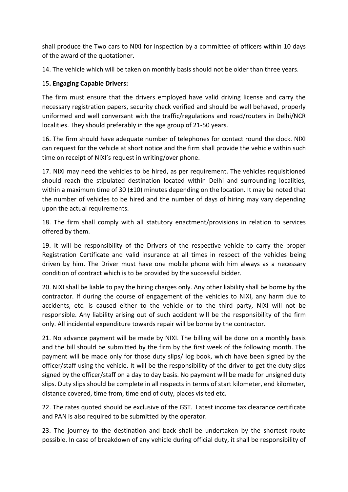shall produce the Two cars to NIXI for inspection by a committee of officers within 10 days of the award of the quotationer.

14. The vehicle which will be taken on monthly basis should not be older than three years.

# 15**. Engaging Capable Drivers:**

The firm must ensure that the drivers employed have valid driving license and carry the necessary registration papers, security check verified and should be well behaved, properly uniformed and well conversant with the traffic/regulations and road/routers in Delhi/NCR localities. They should preferably in the age group of 21-50 years.

16. The firm should have adequate number of telephones for contact round the clock. NIXI can request for the vehicle at short notice and the firm shall provide the vehicle within such time on receipt of NIXI's request in writing/over phone.

17. NIXI may need the vehicles to be hired, as per requirement. The vehicles requisitioned should reach the stipulated destination located within Delhi and surrounding localities, within a maximum time of 30 ( $\pm$ 10) minutes depending on the location. It may be noted that the number of vehicles to be hired and the number of days of hiring may vary depending upon the actual requirements.

18. The firm shall comply with all statutory enactment/provisions in relation to services offered by them.

19. It will be responsibility of the Drivers of the respective vehicle to carry the proper Registration Certificate and valid insurance at all times in respect of the vehicles being driven by him. The Driver must have one mobile phone with him always as a necessary condition of contract which is to be provided by the successful bidder.

20. NIXI shall be liable to pay the hiring charges only. Any other liability shall be borne by the contractor. If during the course of engagement of the vehicles to NIXI, any harm due to accidents, etc. is caused either to the vehicle or to the third party, NIXI will not be responsible. Any liability arising out of such accident will be the responsibility of the firm only. All incidental expenditure towards repair will be borne by the contractor.

21. No advance payment will be made by NIXI. The billing will be done on a monthly basis and the bill should be submitted by the firm by the first week of the following month. The payment will be made only for those duty slips/ log book, which have been signed by the officer/staff using the vehicle. It will be the responsibility of the driver to get the duty slips signed by the officer/staff on a day to day basis. No payment will be made for unsigned duty slips. Duty slips should be complete in all respects in terms of start kilometer, end kilometer, distance covered, time from, time end of duty, places visited etc.

22. The rates quoted should be exclusive of the GST. Latest income tax clearance certificate and PAN is also required to be submitted by the operator.

23. The journey to the destination and back shall be undertaken by the shortest route possible. In case of breakdown of any vehicle during official duty, it shall be responsibility of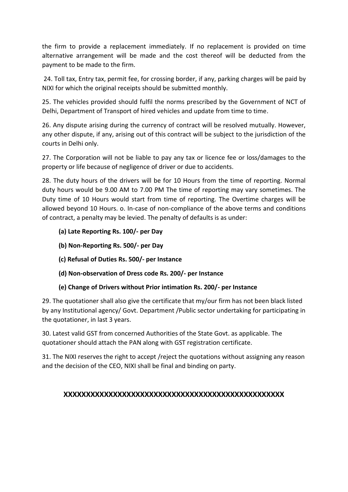the firm to provide a replacement immediately. If no replacement is provided on time alternative arrangement will be made and the cost thereof will be deducted from the payment to be made to the firm.

24. Toll tax, Entry tax, permit fee, for crossing border, if any, parking charges will be paid by NIXI for which the original receipts should be submitted monthly.

25. The vehicles provided should fulfil the norms prescribed by the Government of NCT of Delhi, Department of Transport of hired vehicles and update from time to time.

26. Any dispute arising during the currency of contract will be resolved mutually. However, any other dispute, if any, arising out of this contract will be subject to the jurisdiction of the courts in Delhi only.

27. The Corporation will not be liable to pay any tax or licence fee or loss/damages to the property or life because of negligence of driver or due to accidents.

28. The duty hours of the drivers will be for 10 Hours from the time of reporting. Normal duty hours would be 9.00 AM to 7.00 PM The time of reporting may vary sometimes. The Duty time of 10 Hours would start from time of reporting. The Overtime charges will be allowed beyond 10 Hours. o. In-case of non-compliance of the above terms and conditions of contract, a penalty may be levied. The penalty of defaults is as under:

- **(a) Late Reporting Rs. 100/- per Day**
- **(b) Non-Reporting Rs. 500/- per Day**
- **(c) Refusal of Duties Rs. 500/- per Instance**
- **(d) Non-observation of Dress code Rs. 200/- per Instance**

# **(e) Change of Drivers without Prior intimation Rs. 200/- per Instance**

29. The quotationer shall also give the certificate that my/our firm has not been black listed by any Institutional agency/ Govt. Department /Public sector undertaking for participating in the quotationer, in last 3 years.

30. Latest valid GST from concerned Authorities of the State Govt. as applicable. The quotationer should attach the PAN along with GST registration certificate.

31. The NIXI reserves the right to accept /reject the quotations without assigning any reason and the decision of the CEO, NIXI shall be final and binding on party.

# **XXXXXXXXXXXXXXXXXXXXXXXXXXXXXXXXXXXXXXXXXXXXXXXXX**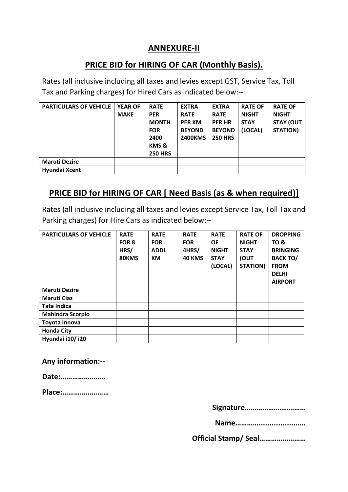# **ANNEXURE-II**

# **PRICE BID for HIRING OF CAR (Monthly Basis).**

Rates (all inclusive including all taxes and levies except GST, Service Tax, Toll Tax and Parking charges) for Hired Cars as indicated below:--

| <b>PARTICULARS OF VEHICLE</b> | <b>YEAR OF</b><br><b>MAKE</b> | <b>RATE</b><br><b>PER</b><br><b>MONTH</b><br><b>FOR</b><br>2400<br>KMS&<br><b>250 HRS</b> | <b>EXTRA</b><br><b>RATE</b><br><b>PER KM</b><br><b>BEYOND</b><br><b>2400KMS</b> | <b>EXTRA</b><br><b>RATE</b><br><b>PER HR</b><br><b>BEYOND</b><br><b>250 HRS</b> | <b>RATE OF</b><br><b>NIGHT</b><br><b>STAY</b><br>(LOCAL) | <b>RATE OF</b><br><b>NIGHT</b><br><b>STAY (OUT</b><br><b>STATION)</b> |
|-------------------------------|-------------------------------|-------------------------------------------------------------------------------------------|---------------------------------------------------------------------------------|---------------------------------------------------------------------------------|----------------------------------------------------------|-----------------------------------------------------------------------|
| <b>Maruti Dezire</b>          |                               |                                                                                           |                                                                                 |                                                                                 |                                                          |                                                                       |
| Hyundai Xcent                 |                               |                                                                                           |                                                                                 |                                                                                 |                                                          |                                                                       |

# **PRICE BID for HIRING OF CAR [ Need Basis (as & when required)]**

Rates (all inclusive including all taxes and levies except Service Tax, Toll Tax and Parking charges) for Hire Cars as indicated below:--

| <b>PARTICULARS OF VEHICLE</b> | <b>RATE</b><br>FOR 8<br>HRS/<br>80KMS | <b>RATE</b><br><b>FOR</b><br><b>ADDL</b><br>КM | <b>RATE</b><br><b>FOR</b><br>4HRS/<br><b>40 KMS</b> | <b>RATE</b><br><b>OF</b><br><b>NIGHT</b><br><b>STAY</b><br>(LOCAL) | <b>RATE OF</b><br><b>NIGHT</b><br><b>STAY</b><br>(OUT<br>STATION) | <b>DROPPING</b><br><b>TO &amp;</b><br><b>BRINGING</b><br><b>BACK TO/</b><br><b>FROM</b><br><b>DELHI</b><br><b>AIRPORT</b> |
|-------------------------------|---------------------------------------|------------------------------------------------|-----------------------------------------------------|--------------------------------------------------------------------|-------------------------------------------------------------------|---------------------------------------------------------------------------------------------------------------------------|
| <b>Maruti Dezire</b>          |                                       |                                                |                                                     |                                                                    |                                                                   |                                                                                                                           |
| <b>Maruti Ciaz</b>            |                                       |                                                |                                                     |                                                                    |                                                                   |                                                                                                                           |
| <b>Tata Indica</b>            |                                       |                                                |                                                     |                                                                    |                                                                   |                                                                                                                           |
| <b>Mahindra Scorpio</b>       |                                       |                                                |                                                     |                                                                    |                                                                   |                                                                                                                           |
| Toyota Innova                 |                                       |                                                |                                                     |                                                                    |                                                                   |                                                                                                                           |
| <b>Honda City</b>             |                                       |                                                |                                                     |                                                                    |                                                                   |                                                                                                                           |
| Hyundai i10/i20               |                                       |                                                |                                                     |                                                                    |                                                                   |                                                                                                                           |

**Any information:--**

**Date:…………………..** 

**Place:……………………** 

**Signature………............………** 

**Name………….................…..** 

**Official Stamp/ Seal……………………**